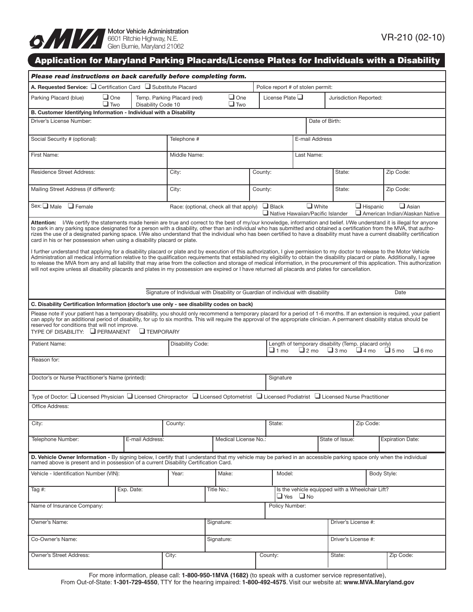

# Application for Maryland Parking Placards/License Plates for Individuals with a Disability

| Please read instructions on back carefully before completing form.                                                                                                                                                                                                                                                                                                                                                                                                                                                                                                                                                                                                                                                                                                                                                                                                                                                                                                                                                                                                                                                                                                                                                                                                                                                                 |                    |                             |                                                                                   |         |                                                                                                                                               |                                                         |                        |                 |                                                |  |  |
|------------------------------------------------------------------------------------------------------------------------------------------------------------------------------------------------------------------------------------------------------------------------------------------------------------------------------------------------------------------------------------------------------------------------------------------------------------------------------------------------------------------------------------------------------------------------------------------------------------------------------------------------------------------------------------------------------------------------------------------------------------------------------------------------------------------------------------------------------------------------------------------------------------------------------------------------------------------------------------------------------------------------------------------------------------------------------------------------------------------------------------------------------------------------------------------------------------------------------------------------------------------------------------------------------------------------------------|--------------------|-----------------------------|-----------------------------------------------------------------------------------|---------|-----------------------------------------------------------------------------------------------------------------------------------------------|---------------------------------------------------------|------------------------|-----------------|------------------------------------------------|--|--|
| A. Requested Service: $\square$ Certification Card $\square$ Substitute Placard<br>Police report # of stolen permit:                                                                                                                                                                                                                                                                                                                                                                                                                                                                                                                                                                                                                                                                                                                                                                                                                                                                                                                                                                                                                                                                                                                                                                                                               |                    |                             |                                                                                   |         |                                                                                                                                               |                                                         |                        |                 |                                                |  |  |
| $\Box$ One<br>Parking Placard (blue)<br>$\Box$ Two                                                                                                                                                                                                                                                                                                                                                                                                                                                                                                                                                                                                                                                                                                                                                                                                                                                                                                                                                                                                                                                                                                                                                                                                                                                                                 | Disability Code 10 | Temp. Parking Placard (red) | $\Box$ One<br>License Plate $\Box$<br>$\Box$ Two                                  |         |                                                                                                                                               |                                                         | Jurisdiction Reported: |                 |                                                |  |  |
| B. Customer Identifying Information - Individual with a Disability                                                                                                                                                                                                                                                                                                                                                                                                                                                                                                                                                                                                                                                                                                                                                                                                                                                                                                                                                                                                                                                                                                                                                                                                                                                                 |                    |                             |                                                                                   |         |                                                                                                                                               |                                                         |                        |                 |                                                |  |  |
| Driver's License Number:                                                                                                                                                                                                                                                                                                                                                                                                                                                                                                                                                                                                                                                                                                                                                                                                                                                                                                                                                                                                                                                                                                                                                                                                                                                                                                           |                    |                             |                                                                                   |         |                                                                                                                                               | Date of Birth:                                          |                        |                 |                                                |  |  |
| Social Security # (optional):                                                                                                                                                                                                                                                                                                                                                                                                                                                                                                                                                                                                                                                                                                                                                                                                                                                                                                                                                                                                                                                                                                                                                                                                                                                                                                      | Telephone #        |                             |                                                                                   |         |                                                                                                                                               | <b>E-mail Address</b>                                   |                        |                 |                                                |  |  |
| First Name:                                                                                                                                                                                                                                                                                                                                                                                                                                                                                                                                                                                                                                                                                                                                                                                                                                                                                                                                                                                                                                                                                                                                                                                                                                                                                                                        |                    | Middle Name:                |                                                                                   |         |                                                                                                                                               | Last Name:                                              |                        |                 |                                                |  |  |
| <b>Residence Street Address:</b>                                                                                                                                                                                                                                                                                                                                                                                                                                                                                                                                                                                                                                                                                                                                                                                                                                                                                                                                                                                                                                                                                                                                                                                                                                                                                                   |                    | City:                       | County:                                                                           |         |                                                                                                                                               |                                                         | State:                 |                 | Zip Code:                                      |  |  |
| Mailing Street Address (if different):                                                                                                                                                                                                                                                                                                                                                                                                                                                                                                                                                                                                                                                                                                                                                                                                                                                                                                                                                                                                                                                                                                                                                                                                                                                                                             |                    | City:                       |                                                                                   | County: |                                                                                                                                               | State:                                                  |                        | Zip Code:       |                                                |  |  |
| $Sex: \Box Male$<br>$\Box$ Female                                                                                                                                                                                                                                                                                                                                                                                                                                                                                                                                                                                                                                                                                                                                                                                                                                                                                                                                                                                                                                                                                                                                                                                                                                                                                                  |                    |                             | Race: (optional, check all that apply)                                            |         | $\Box$ Black                                                                                                                                  | $\Box$ White<br>$\Box$ Native Hawaiian/Pacific Islander |                        | $\Box$ Hispanic | $\Box$ Asian<br>American Indian/Alaskan Native |  |  |
| Attention: I/We certify the statements made herein are true and correct to the best of my/our knowledge, information and belief. I/We understand it is illegal for anyone<br>to park in any parking space designated for a person with a disability, other than an individual who has submitted and obtained a certification from the MVA, that autho-<br>rizes the use of a designated parking space. I/We also understand that the individual who has been certified to have a disability must have a current disability certification<br>card in his or her possession when using a disability placard or plate.<br>I further understand that applying for a disability placard or plate and by execution of this authorization, I give permission to my doctor to release to the Motor Vehicle<br>Administration all medical information relative to the qualification requirements that established my eligibility to obtain the disability placard or plate. Additionally, I agree<br>to release the MVA from any and all liability that may arise from the collection and storage of medical information, in the procurement of this application. This authorization<br>will not expire unless all disability placards and plates in my possession are expired or I have returned all placards and plates for cancellation. |                    |                             |                                                                                   |         |                                                                                                                                               |                                                         |                        |                 |                                                |  |  |
|                                                                                                                                                                                                                                                                                                                                                                                                                                                                                                                                                                                                                                                                                                                                                                                                                                                                                                                                                                                                                                                                                                                                                                                                                                                                                                                                    |                    |                             | Signature of Individual with Disability or Guardian of individual with disability |         |                                                                                                                                               |                                                         |                        |                 | Date                                           |  |  |
| C. Disability Certification Information (doctor's use only - see disability codes on back)                                                                                                                                                                                                                                                                                                                                                                                                                                                                                                                                                                                                                                                                                                                                                                                                                                                                                                                                                                                                                                                                                                                                                                                                                                         |                    |                             |                                                                                   |         |                                                                                                                                               |                                                         |                        |                 |                                                |  |  |
| Please note if your patient has a temporary disability, you should only recommend a temporary placard for a period of 1-6 months. If an extension is required, your patient<br>can apply for an additional period of disability, for up to six months. This will require the approval of the appropriate clinician. A permanent disability status should be<br>reserved for conditions that will not improve.<br>TYPE OF DISABILITY: PERMANENT<br>$\Box$ TEMPORARY                                                                                                                                                                                                                                                                                                                                                                                                                                                                                                                                                                                                                                                                                                                                                                                                                                                                 |                    |                             |                                                                                   |         |                                                                                                                                               |                                                         |                        |                 |                                                |  |  |
| Patient Name:                                                                                                                                                                                                                                                                                                                                                                                                                                                                                                                                                                                                                                                                                                                                                                                                                                                                                                                                                                                                                                                                                                                                                                                                                                                                                                                      |                    | <b>Disability Code:</b>     |                                                                                   |         | Length of temporary disability (Temp. placard only)<br>$\Box$ 6 mo<br>$\Box$ 1 mo<br>$\Box$ 2 mo<br>$\Box$ 3 mo<br>$\Box$ 4 mo<br>$\Box$ 5 mo |                                                         |                        |                 |                                                |  |  |
| Reason for:                                                                                                                                                                                                                                                                                                                                                                                                                                                                                                                                                                                                                                                                                                                                                                                                                                                                                                                                                                                                                                                                                                                                                                                                                                                                                                                        |                    |                             |                                                                                   |         |                                                                                                                                               |                                                         |                        |                 |                                                |  |  |
| Doctor's or Nurse Practitioner's Name (printed):                                                                                                                                                                                                                                                                                                                                                                                                                                                                                                                                                                                                                                                                                                                                                                                                                                                                                                                                                                                                                                                                                                                                                                                                                                                                                   |                    |                             |                                                                                   |         | Signature                                                                                                                                     |                                                         |                        |                 |                                                |  |  |
| Type of Doctor: $\Box$ Licensed Physician $\Box$ Licensed Chiropractor $\Box$ Licensed Optometrist $\Box$ Licensed Podiatrist $\Box$ Licensed Nurse Practitioner                                                                                                                                                                                                                                                                                                                                                                                                                                                                                                                                                                                                                                                                                                                                                                                                                                                                                                                                                                                                                                                                                                                                                                   |                    |                             |                                                                                   |         |                                                                                                                                               |                                                         |                        |                 |                                                |  |  |
| Office Address:                                                                                                                                                                                                                                                                                                                                                                                                                                                                                                                                                                                                                                                                                                                                                                                                                                                                                                                                                                                                                                                                                                                                                                                                                                                                                                                    |                    |                             |                                                                                   |         |                                                                                                                                               |                                                         |                        |                 |                                                |  |  |
| City:                                                                                                                                                                                                                                                                                                                                                                                                                                                                                                                                                                                                                                                                                                                                                                                                                                                                                                                                                                                                                                                                                                                                                                                                                                                                                                                              |                    | County:                     |                                                                                   |         | State:                                                                                                                                        |                                                         |                        | Zip Code:       |                                                |  |  |
| Telephone Number:                                                                                                                                                                                                                                                                                                                                                                                                                                                                                                                                                                                                                                                                                                                                                                                                                                                                                                                                                                                                                                                                                                                                                                                                                                                                                                                  | E-mail Address:    |                             | Medical License No.:                                                              |         |                                                                                                                                               |                                                         | State of Issue:        |                 | <b>Expiration Date:</b>                        |  |  |
| D. Vehicle Owner Information - By signing below, I certify that I understand that my vehicle may be parked in an accessible parking space only when the individual named above is present and in possession of a current Disab                                                                                                                                                                                                                                                                                                                                                                                                                                                                                                                                                                                                                                                                                                                                                                                                                                                                                                                                                                                                                                                                                                     |                    |                             |                                                                                   |         |                                                                                                                                               |                                                         |                        |                 |                                                |  |  |
| Vehicle - Identification Number (VIN):                                                                                                                                                                                                                                                                                                                                                                                                                                                                                                                                                                                                                                                                                                                                                                                                                                                                                                                                                                                                                                                                                                                                                                                                                                                                                             |                    | Year:                       | Make:                                                                             | Model:  |                                                                                                                                               |                                                         |                        | Body Style:     |                                                |  |  |
| Tag #:                                                                                                                                                                                                                                                                                                                                                                                                                                                                                                                                                                                                                                                                                                                                                                                                                                                                                                                                                                                                                                                                                                                                                                                                                                                                                                                             |                    | Title No.:                  |                                                                                   |         | Is the vehicle equipped with a Wheelchair Lift?<br>$\Box$ Yes<br>$\Box$ No                                                                    |                                                         |                        |                 |                                                |  |  |
| Name of Insurance Company:<br>Policy Number:                                                                                                                                                                                                                                                                                                                                                                                                                                                                                                                                                                                                                                                                                                                                                                                                                                                                                                                                                                                                                                                                                                                                                                                                                                                                                       |                    |                             |                                                                                   |         |                                                                                                                                               |                                                         |                        |                 |                                                |  |  |
| Owner's Name:                                                                                                                                                                                                                                                                                                                                                                                                                                                                                                                                                                                                                                                                                                                                                                                                                                                                                                                                                                                                                                                                                                                                                                                                                                                                                                                      |                    | Signature:                  |                                                                                   |         | Driver's License #:                                                                                                                           |                                                         |                        |                 |                                                |  |  |
| Co-Owner's Name:                                                                                                                                                                                                                                                                                                                                                                                                                                                                                                                                                                                                                                                                                                                                                                                                                                                                                                                                                                                                                                                                                                                                                                                                                                                                                                                   |                    | Signature:                  |                                                                                   |         |                                                                                                                                               | Driver's License #:                                     |                        |                 |                                                |  |  |
| Owner's Street Address:                                                                                                                                                                                                                                                                                                                                                                                                                                                                                                                                                                                                                                                                                                                                                                                                                                                                                                                                                                                                                                                                                                                                                                                                                                                                                                            |                    | City:                       |                                                                                   |         | County:                                                                                                                                       | State:                                                  |                        |                 | Zip Code:                                      |  |  |

For more information, please call: **1-800-950-1MVA (1682)** (to speak with a customer service representative), From Out-of-State: **1-301-729-4550**, TTY for the hearing impaired: **1-800-492-4575**. Visit our website at: **www.MVA.Maryland.gov**